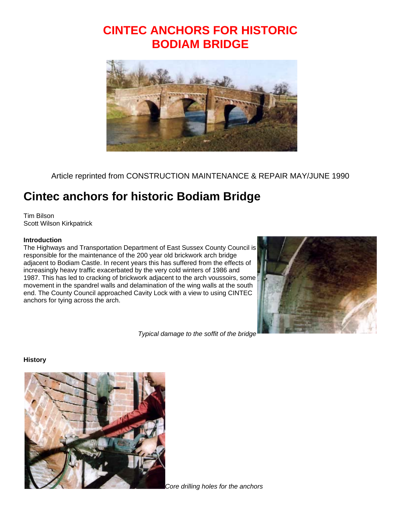## **CINTEC ANCHORS FOR HISTORIC BODIAM BRIDGE**



Article reprinted from CONSTRUCTION MAINTENANCE & REPAIR MAY/JUNE 1990

# **Cintec anchors for historic Bodiam Bridge**

Tim Bilson Scott Wilson Kirkpatrick

### **Introduction**

The Highways and Transportation Department of East Sussex County Council is responsible for the maintenance of the 200 year old brickwork arch bridge adjacent to Bodiam Castle. In recent years this has suffered from the effects of increasingly heavy traffic exacerbated by the very cold winters of 1986 and 1987. This has led to cracking of brickwork adjacent to the arch voussoirs, some movement in the spandrel walls and delamination of the wing walls at the south end. The County Council approached Cavity Lock with a view to using CINTEC anchors for tying across the arch.



*Typical damage to the soffit of the bridge*

### **History**

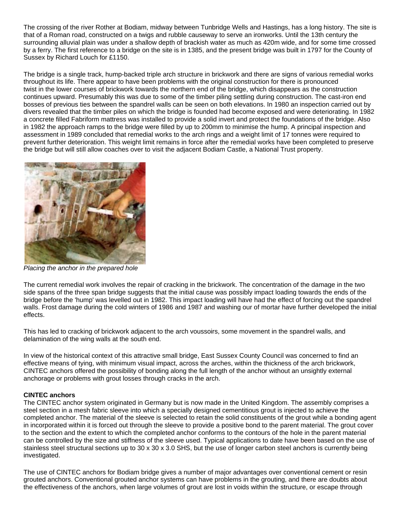The crossing of the river Rother at Bodiam, midway between Tunbridge Wells and Hastings, has a long history. The site is that of a Roman road, constructed on a twigs and rubble causeway to serve an ironworks. Until the 13th century the surrounding alluvial plain was under a shallow depth of brackish water as much as 420m wide, and for some time crossed by a ferry. The first reference to a bridge on the site is in 1385, and the present bridge was built in 1797 for the County of Sussex by Richard Louch for £1150.

The bridge is a single track, hump-backed triple arch structure in brickwork and there are signs of various remedial works throughout its life. There appear to have been problems with the original construction for there is pronounced twist in the lower courses of brickwork towards the northern end of the bridge, which disappears as the construction continues upward. Presumably this was due to some of the timber piling settling during construction. The cast-iron end bosses of previous ties between the spandrel walls can be seen on both elevations. In 1980 an inspection carried out by divers revealed that the timber piles on which the bridge is founded had become exposed and were deteriorating. In 1982 a concrete filled Fabriform mattress was installed to provide a solid invert and protect the foundations of the bridge. Also in 1982 the approach ramps to the bridge were filled by up to 200mm to minimise the hump. A principal inspection and assessment in 1989 concluded that remedial works to the arch rings and a weight limit of 17 tonnes were required to prevent further deterioration. This weight limit remains in force after the remedial works have been completed to preserve the bridge but will still allow coaches over to visit the adjacent Bodiam Castle, a National Trust property.



*Placing the anchor in the prepared hole*

The current remedial work involves the repair of cracking in the brickwork. The concentration of the damage in the two side spans of the three span bridge suggests that the initial cause was possibly impact loading towards the ends of the bridge before the 'hump' was levelled out in 1982. This impact loading will have had the effect of forcing out the spandrel walls. Frost damage during the cold winters of 1986 and 1987 and washing our of mortar have further developed the initial effects.

This has led to cracking of brickwork adjacent to the arch voussoirs, some movement in the spandrel walls, and delamination of the wing walls at the south end.

In view of the historical context of this attractive small bridge, East Sussex County Council was concerned to find an effective means of tying, with minimum visual impact, across the arches, within the thickness of the arch brickwork, CINTEC anchors offered the possibility of bonding along the full length of the anchor without an unsightly external anchorage or problems with grout losses through cracks in the arch.

### **CINTEC anchors**

The CINTEC anchor system originated in Germany but is now made in the United Kingdom. The assembly comprises a steel section in a mesh fabric sleeve into which a specially designed cementitious grout is injected to achieve the completed anchor. The material of the sleeve is selected to retain the solid constituents of the grout while a bonding agent in incorporated within it is forced out through the sleeve to provide a positive bond to the parent material. The grout cover to the section and the extent to which the completed anchor conforms to the contours of the hole in the parent material can be controlled by the size and stiffness of the sleeve used. Typical applications to date have been based on the use of stainless steel structural sections up to  $30 \times 30 \times 3.0$  SHS, but the use of longer carbon steel anchors is currently being investigated.

The use of CINTEC anchors for Bodiam bridge gives a number of major advantages over conventional cement or resin grouted anchors. Conventional grouted anchor systems can have problems in the grouting, and there are doubts about the effectiveness of the anchors, when large volumes of grout are lost in voids within the structure, or escape through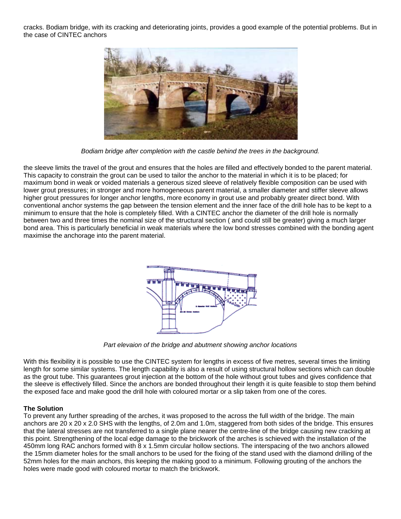cracks. Bodiam bridge, with its cracking and deteriorating joints, provides a good example of the potential problems. But in the case of CINTEC anchors



*Bodiam bridge after completion with the castle behind the trees in the background.*

the sleeve limits the travel of the grout and ensures that the holes are filled and effectively bonded to the parent material. This capacity to constrain the grout can be used to tailor the anchor to the material in which it is to be placed; for maximum bond in weak or voided materials a generous sized sleeve of relatively flexible composition can be used with lower grout pressures; in stronger and more homogeneous parent material, a smaller diameter and stiffer sleeve allows higher grout pressures for longer anchor lengths, more economy in grout use and probably greater direct bond. With conventional anchor systems the gap between the tension element and the inner face of the drill hole has to be kept to a minimum to ensure that the hole is completely filled. With a CINTEC anchor the diameter of the drill hole is normally between two and three times the nominal size of the structural section ( and could still be greater) giving a much larger bond area. This is particularly beneficial in weak materials where the low bond stresses combined with the bonding agent maximise the anchorage into the parent material.



*Part elevaion of the bridge and abutment showing anchor locations*

With this flexibility it is possible to use the CINTEC system for lengths in excess of five metres, several times the limiting length for some similar systems. The length capability is also a result of using structural hollow sections which can double as the grout tube. This guarantees grout injection at the bottom of the hole without grout tubes and gives confidence that the sleeve is effectively filled. Since the anchors are bonded throughout their length it is quite feasible to stop them behind the exposed face and make good the drill hole with coloured mortar or a slip taken from one of the cores.

### **The Solution**

To prevent any further spreading of the arches, it was proposed to the across the full width of the bridge. The main anchors are 20 x 20 x 2.0 SHS with the lengths, of 2.0m and 1.0m, staggered from both sides of the bridge. This ensures that the lateral stresses are not transferred to a single plane nearer the centre-line of the bridge causing new cracking at this point. Strengthening of the local edge damage to the brickwork of the arches is schieved with the installation of the 450mm long RAC anchors formed with 8 x 1.5mm circular hollow sections. The interspacing of the two anchors allowed the 15mm diameter holes for the small anchors to be used for the fixing of the stand used with the diamond drilling of the 52mm holes for the main anchors, this keeping the making good to a minimum. Following grouting of the anchors the holes were made good with coloured mortar to match the brickwork.